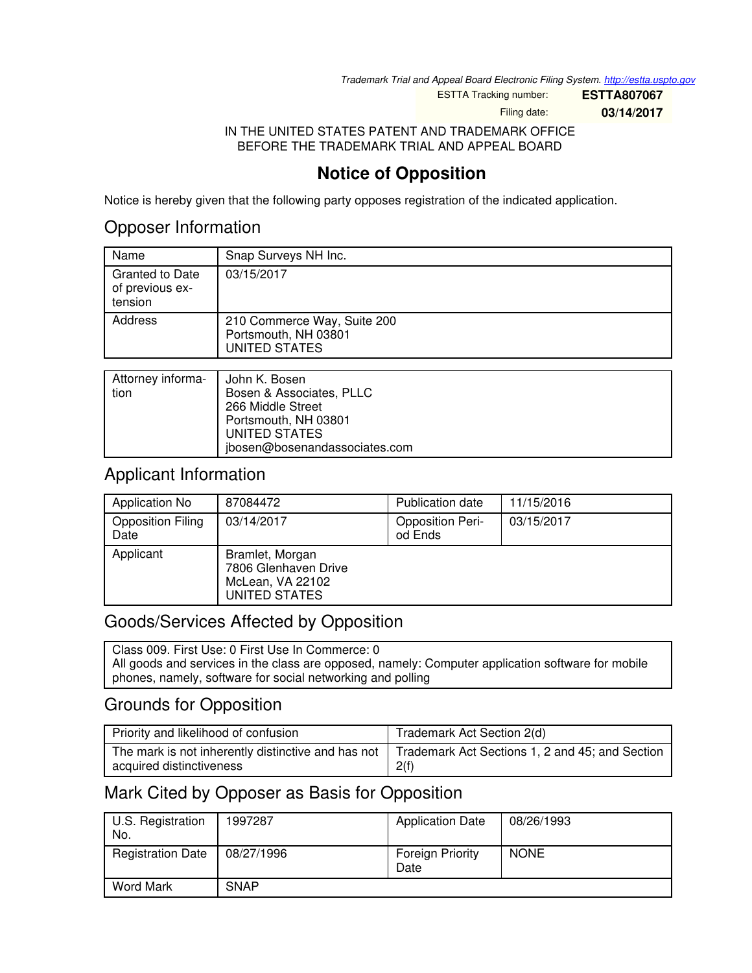*Trademark Trial and Appeal Board Electronic Filing System. <http://estta.uspto.gov>*

ESTTA Tracking number: **ESTTA807067**

Filing date: **03/14/2017**

IN THE UNITED STATES PATENT AND TRADEMARK OFFICE BEFORE THE TRADEMARK TRIAL AND APPEAL BOARD

# **Notice of Opposition**

Notice is hereby given that the following party opposes registration of the indicated application.

### Opposer Information

| Name                                                 | Snap Surveys NH Inc.                                                        |
|------------------------------------------------------|-----------------------------------------------------------------------------|
| <b>Granted to Date</b><br>of previous ex-<br>tension | 03/15/2017                                                                  |
| Address                                              | 210 Commerce Way, Suite 200<br>Portsmouth, NH 03801<br><b>UNITED STATES</b> |
|                                                      |                                                                             |
| Attorney informa-                                    | John K. Bosen                                                               |

| -Attorney Informa | John K. Bosen                 |
|-------------------|-------------------------------|
| tion              | Bosen & Associates, PLLC      |
|                   | 266 Middle Street             |
|                   | Portsmouth, NH 03801          |
|                   | UNITED STATES                 |
|                   | jbosen@bosenandassociates.com |

### Applicant Information

| Application No                   | 87084472                                                                     | Publication date                   | 11/15/2016 |
|----------------------------------|------------------------------------------------------------------------------|------------------------------------|------------|
| <b>Opposition Filing</b><br>Date | 03/14/2017                                                                   | <b>Opposition Peri-</b><br>od Ends | 03/15/2017 |
| Applicant                        | Bramlet, Morgan<br>7806 Glenhaven Drive<br>McLean, VA 22102<br>UNITED STATES |                                    |            |

## Goods/Services Affected by Opposition

Class 009. First Use: 0 First Use In Commerce: 0 All goods and services in the class are opposed, namely: Computer application software for mobile phones, namely, software for social networking and polling

# Grounds for Opposition

| Priority and likelihood of confusion | Trademark Act Section 2(d)                                                                                 |
|--------------------------------------|------------------------------------------------------------------------------------------------------------|
| acquired distinctiveness             | The mark is not inherently distinctive and has not Trademark Act Sections 1, 2 and 45; and Section<br>2(f) |

# Mark Cited by Opposer as Basis for Opposition

| U.S. Registration<br>No. | 1997287     | <b>Application Date</b>  | 08/26/1993  |
|--------------------------|-------------|--------------------------|-------------|
| <b>Registration Date</b> | 08/27/1996  | Foreign Priority<br>Date | <b>NONE</b> |
| <b>Word Mark</b>         | <b>SNAP</b> |                          |             |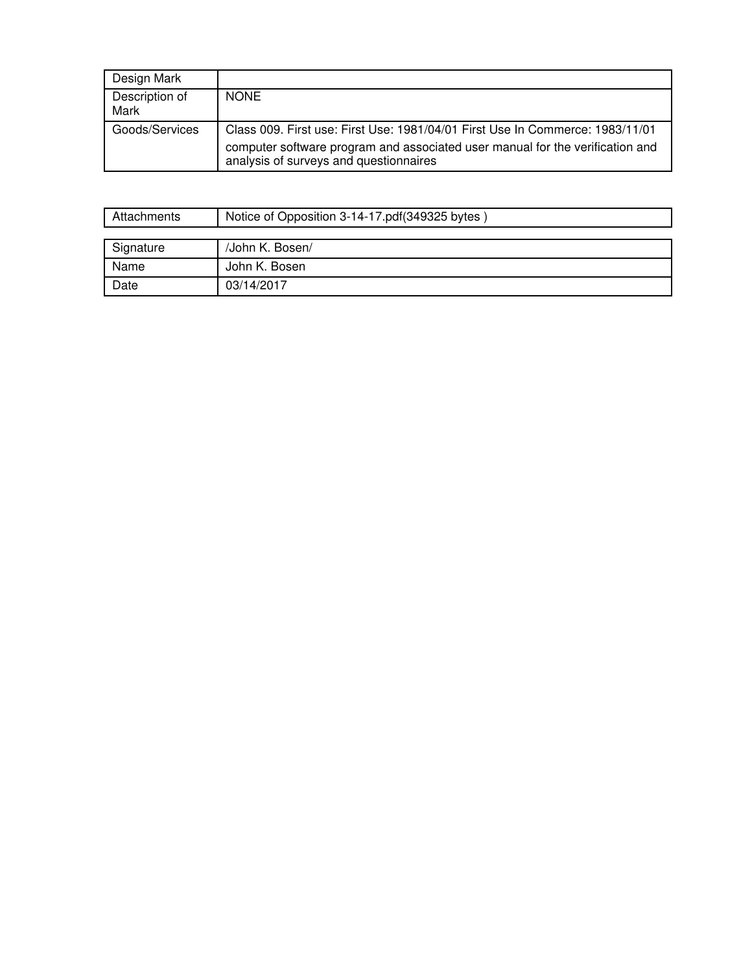| Design Mark            |                                                                                                                                                                                                          |
|------------------------|----------------------------------------------------------------------------------------------------------------------------------------------------------------------------------------------------------|
| Description of<br>Mark | <b>NONE</b>                                                                                                                                                                                              |
| Goods/Services         | Class 009. First use: First Use: 1981/04/01 First Use In Commerce: 1983/11/01<br>computer software program and associated user manual for the verification and<br>analysis of surveys and questionnaires |

| Attachments | Notice of Opposition 3-14-17.pdf(349325 bytes) |
|-------------|------------------------------------------------|
|             |                                                |
| Signature   | /John K. Bosen/                                |
| Name        | John K. Bosen                                  |
| Date        | 03/14/2017                                     |